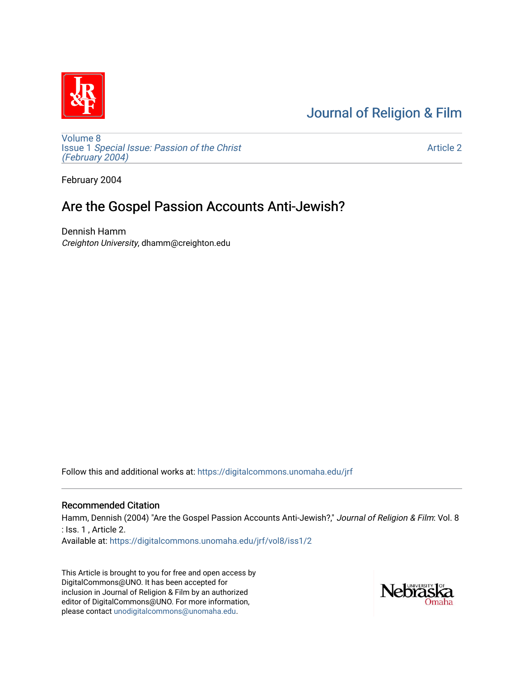# [Journal of Religion & Film](https://digitalcommons.unomaha.edu/jrf)



[Volume 8](https://digitalcommons.unomaha.edu/jrf/vol8) Issue 1 [Special Issue: Passion of the Christ](https://digitalcommons.unomaha.edu/jrf/vol8/iss1)  [\(February 2004\)](https://digitalcommons.unomaha.edu/jrf/vol8/iss1) 

[Article 2](https://digitalcommons.unomaha.edu/jrf/vol8/iss1/2) 

February 2004

## Are the Gospel Passion Accounts Anti-Jewish?

Dennish Hamm Creighton University, dhamm@creighton.edu

Follow this and additional works at: [https://digitalcommons.unomaha.edu/jrf](https://digitalcommons.unomaha.edu/jrf?utm_source=digitalcommons.unomaha.edu%2Fjrf%2Fvol8%2Fiss1%2F2&utm_medium=PDF&utm_campaign=PDFCoverPages)

## Recommended Citation

Hamm, Dennish (2004) "Are the Gospel Passion Accounts Anti-Jewish?," Journal of Religion & Film: Vol. 8 : Iss. 1 , Article 2. Available at: [https://digitalcommons.unomaha.edu/jrf/vol8/iss1/2](https://digitalcommons.unomaha.edu/jrf/vol8/iss1/2?utm_source=digitalcommons.unomaha.edu%2Fjrf%2Fvol8%2Fiss1%2F2&utm_medium=PDF&utm_campaign=PDFCoverPages) 

This Article is brought to you for free and open access by DigitalCommons@UNO. It has been accepted for inclusion in Journal of Religion & Film by an authorized editor of DigitalCommons@UNO. For more information, please contact [unodigitalcommons@unomaha.edu.](mailto:unodigitalcommons@unomaha.edu)

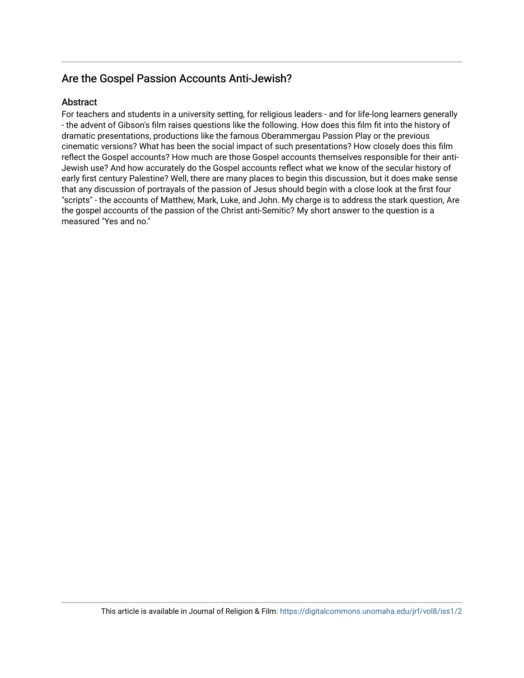## Are the Gospel Passion Accounts Anti-Jewish?

## **Abstract**

For teachers and students in a university setting, for religious leaders - and for life-long learners generally - the advent of Gibson's film raises questions like the following. How does this film fit into the history of dramatic presentations, productions like the famous Oberammergau Passion Play or the previous cinematic versions? What has been the social impact of such presentations? How closely does this film reflect the Gospel accounts? How much are those Gospel accounts themselves responsible for their anti-Jewish use? And how accurately do the Gospel accounts reflect what we know of the secular history of early first century Palestine? Well, there are many places to begin this discussion, but it does make sense that any discussion of portrayals of the passion of Jesus should begin with a close look at the first four "scripts" - the accounts of Matthew, Mark, Luke, and John. My charge is to address the stark question, Are the gospel accounts of the passion of the Christ anti-Semitic? My short answer to the question is a measured "Yes and no."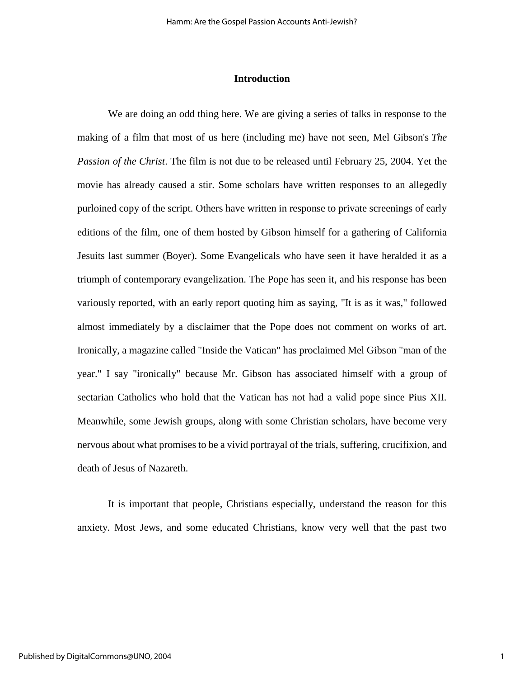#### **Introduction**

We are doing an odd thing here. We are giving a series of talks in response to the making of a film that most of us here (including me) have not seen, Mel Gibson's *The Passion of the Christ*. The film is not due to be released until February 25, 2004. Yet the movie has already caused a stir. Some scholars have written responses to an allegedly purloined copy of the script. Others have written in response to private screenings of early editions of the film, one of them hosted by Gibson himself for a gathering of California Jesuits last summer (Boyer). Some Evangelicals who have seen it have heralded it as a triumph of contemporary evangelization. The Pope has seen it, and his response has been variously reported, with an early report quoting him as saying, "It is as it was," followed almost immediately by a disclaimer that the Pope does not comment on works of art. Ironically, a magazine called "Inside the Vatican" has proclaimed Mel Gibson "man of the year." I say "ironically" because Mr. Gibson has associated himself with a group of sectarian Catholics who hold that the Vatican has not had a valid pope since Pius XII. Meanwhile, some Jewish groups, along with some Christian scholars, have become very nervous about what promises to be a vivid portrayal of the trials, suffering, crucifixion, and death of Jesus of Nazareth.

It is important that people, Christians especially, understand the reason for this anxiety. Most Jews, and some educated Christians, know very well that the past two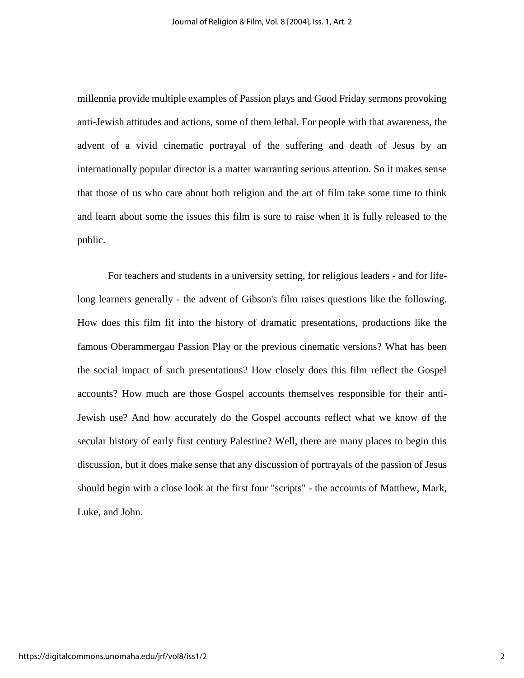millennia provide multiple examples of Passion plays and Good Friday sermons provoking anti-Jewish attitudes and actions, some of them lethal. For people with that awareness, the advent of a vivid cinematic portrayal of the suffering and death of Jesus by an internationally popular director is a matter warranting serious attention. So it makes sense that those of us who care about both religion and the art of film take some time to think and learn about some the issues this film is sure to raise when it is fully released to the public.

For teachers and students in a university setting, for religious leaders - and for lifelong learners generally - the advent of Gibson's film raises questions like the following. How does this film fit into the history of dramatic presentations, productions like the famous Oberammergau Passion Play or the previous cinematic versions? What has been the social impact of such presentations? How closely does this film reflect the Gospel accounts? How much are those Gospel accounts themselves responsible for their anti-Jewish use? And how accurately do the Gospel accounts reflect what we know of the secular history of early first century Palestine? Well, there are many places to begin this discussion, but it does make sense that any discussion of portrayals of the passion of Jesus should begin with a close look at the first four "scripts" - the accounts of Matthew, Mark, Luke, and John.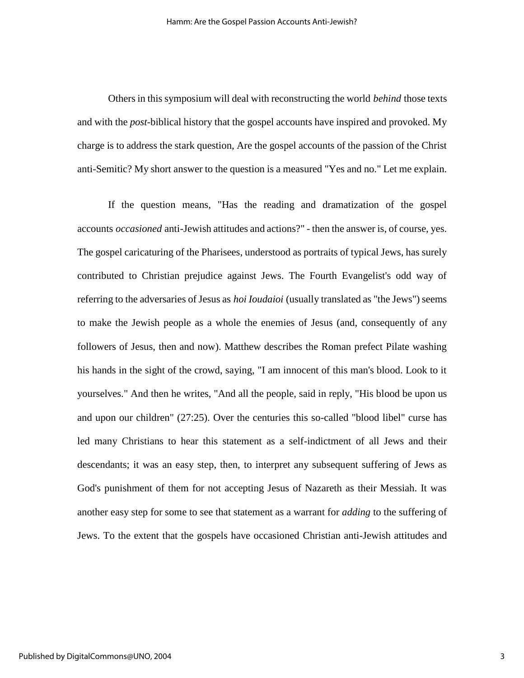Others in this symposium will deal with reconstructing the world *behind* those texts and with the *post*-biblical history that the gospel accounts have inspired and provoked. My charge is to address the stark question, Are the gospel accounts of the passion of the Christ anti-Semitic? My short answer to the question is a measured "Yes and no." Let me explain.

If the question means, "Has the reading and dramatization of the gospel accounts *occasioned* anti-Jewish attitudes and actions?" - then the answer is, of course, yes. The gospel caricaturing of the Pharisees, understood as portraits of typical Jews, has surely contributed to Christian prejudice against Jews. The Fourth Evangelist's odd way of referring to the adversaries of Jesus as *hoi Ioudaioi* (usually translated as "the Jews") seems to make the Jewish people as a whole the enemies of Jesus (and, consequently of any followers of Jesus, then and now). Matthew describes the Roman prefect Pilate washing his hands in the sight of the crowd, saying, "I am innocent of this man's blood. Look to it yourselves." And then he writes, "And all the people, said in reply, "His blood be upon us and upon our children" (27:25). Over the centuries this so-called "blood libel" curse has led many Christians to hear this statement as a self-indictment of all Jews and their descendants; it was an easy step, then, to interpret any subsequent suffering of Jews as God's punishment of them for not accepting Jesus of Nazareth as their Messiah. It was another easy step for some to see that statement as a warrant for *adding* to the suffering of Jews. To the extent that the gospels have occasioned Christian anti-Jewish attitudes and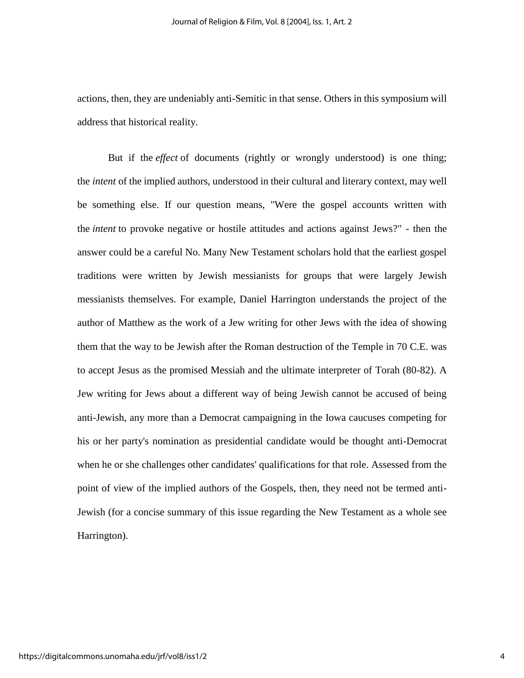actions, then, they are undeniably anti-Semitic in that sense. Others in this symposium will address that historical reality.

But if the *effect* of documents (rightly or wrongly understood) is one thing; the *intent* of the implied authors, understood in their cultural and literary context, may well be something else. If our question means, "Were the gospel accounts written with the *intent* to provoke negative or hostile attitudes and actions against Jews?" - then the answer could be a careful No. Many New Testament scholars hold that the earliest gospel traditions were written by Jewish messianists for groups that were largely Jewish messianists themselves. For example, Daniel Harrington understands the project of the author of Matthew as the work of a Jew writing for other Jews with the idea of showing them that the way to be Jewish after the Roman destruction of the Temple in 70 C.E. was to accept Jesus as the promised Messiah and the ultimate interpreter of Torah (80-82). A Jew writing for Jews about a different way of being Jewish cannot be accused of being anti-Jewish, any more than a Democrat campaigning in the Iowa caucuses competing for his or her party's nomination as presidential candidate would be thought anti-Democrat when he or she challenges other candidates' qualifications for that role. Assessed from the point of view of the implied authors of the Gospels, then, they need not be termed anti-Jewish (for a concise summary of this issue regarding the New Testament as a whole see Harrington).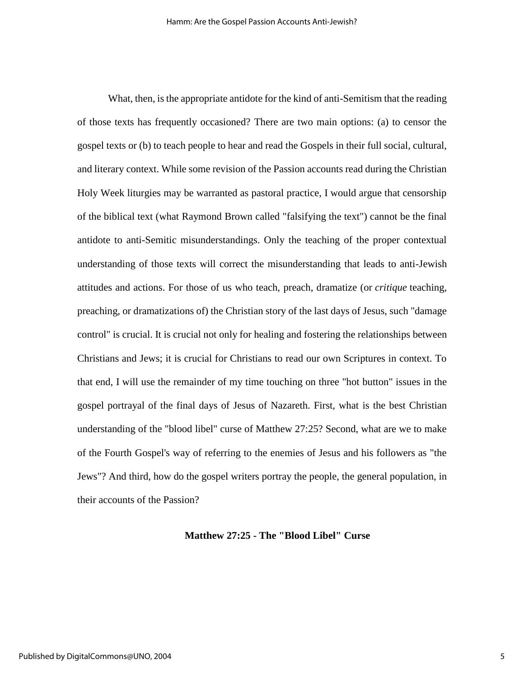What, then, is the appropriate antidote for the kind of anti-Semitism that the reading of those texts has frequently occasioned? There are two main options: (a) to censor the gospel texts or (b) to teach people to hear and read the Gospels in their full social, cultural, and literary context. While some revision of the Passion accounts read during the Christian Holy Week liturgies may be warranted as pastoral practice, I would argue that censorship of the biblical text (what Raymond Brown called "falsifying the text") cannot be the final antidote to anti-Semitic misunderstandings. Only the teaching of the proper contextual understanding of those texts will correct the misunderstanding that leads to anti-Jewish attitudes and actions. For those of us who teach, preach, dramatize (or *critique* teaching, preaching, or dramatizations of) the Christian story of the last days of Jesus, such "damage control" is crucial. It is crucial not only for healing and fostering the relationships between Christians and Jews; it is crucial for Christians to read our own Scriptures in context. To that end, I will use the remainder of my time touching on three "hot button" issues in the gospel portrayal of the final days of Jesus of Nazareth. First, what is the best Christian understanding of the "blood libel" curse of Matthew 27:25? Second, what are we to make of the Fourth Gospel's way of referring to the enemies of Jesus and his followers as "the Jews"? And third, how do the gospel writers portray the people, the general population, in their accounts of the Passion?

#### **Matthew 27:25 - The "Blood Libel" Curse**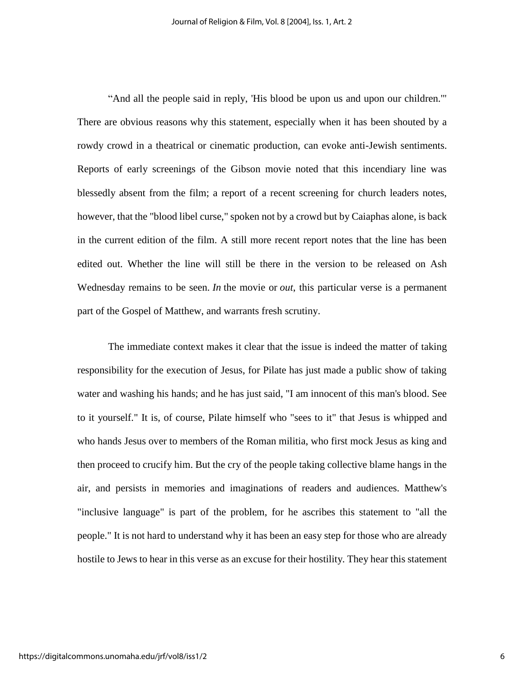"And all the people said in reply, 'His blood be upon us and upon our children.'" There are obvious reasons why this statement, especially when it has been shouted by a rowdy crowd in a theatrical or cinematic production, can evoke anti-Jewish sentiments. Reports of early screenings of the Gibson movie noted that this incendiary line was blessedly absent from the film; a report of a recent screening for church leaders notes, however, that the "blood libel curse," spoken not by a crowd but by Caiaphas alone, is back in the current edition of the film. A still more recent report notes that the line has been edited out. Whether the line will still be there in the version to be released on Ash Wednesday remains to be seen. *In* the movie or *out*, this particular verse is a permanent part of the Gospel of Matthew, and warrants fresh scrutiny.

The immediate context makes it clear that the issue is indeed the matter of taking responsibility for the execution of Jesus, for Pilate has just made a public show of taking water and washing his hands; and he has just said, "I am innocent of this man's blood. See to it yourself." It is, of course, Pilate himself who "sees to it" that Jesus is whipped and who hands Jesus over to members of the Roman militia, who first mock Jesus as king and then proceed to crucify him. But the cry of the people taking collective blame hangs in the air, and persists in memories and imaginations of readers and audiences. Matthew's "inclusive language" is part of the problem, for he ascribes this statement to "all the people." It is not hard to understand why it has been an easy step for those who are already hostile to Jews to hear in this verse as an excuse for their hostility. They hear this statement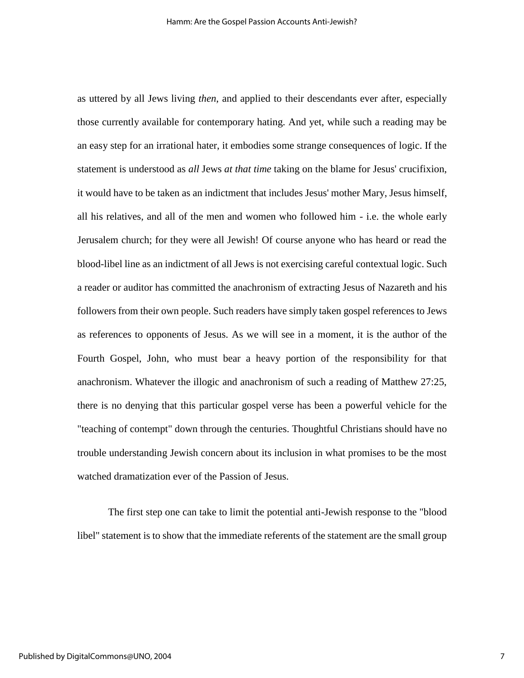as uttered by all Jews living *then*, and applied to their descendants ever after, especially those currently available for contemporary hating. And yet, while such a reading may be an easy step for an irrational hater, it embodies some strange consequences of logic. If the statement is understood as *all* Jews *at that time* taking on the blame for Jesus' crucifixion, it would have to be taken as an indictment that includes Jesus' mother Mary, Jesus himself, all his relatives, and all of the men and women who followed him - i.e. the whole early Jerusalem church; for they were all Jewish! Of course anyone who has heard or read the blood-libel line as an indictment of all Jews is not exercising careful contextual logic. Such a reader or auditor has committed the anachronism of extracting Jesus of Nazareth and his followers from their own people. Such readers have simply taken gospel references to Jews as references to opponents of Jesus. As we will see in a moment, it is the author of the Fourth Gospel, John, who must bear a heavy portion of the responsibility for that anachronism. Whatever the illogic and anachronism of such a reading of Matthew 27:25, there is no denying that this particular gospel verse has been a powerful vehicle for the "teaching of contempt" down through the centuries. Thoughtful Christians should have no trouble understanding Jewish concern about its inclusion in what promises to be the most watched dramatization ever of the Passion of Jesus.

The first step one can take to limit the potential anti-Jewish response to the "blood libel" statement is to show that the immediate referents of the statement are the small group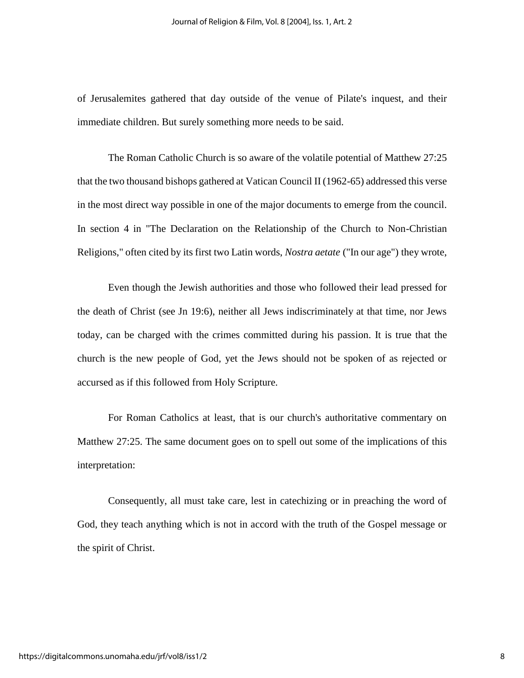of Jerusalemites gathered that day outside of the venue of Pilate's inquest, and their immediate children. But surely something more needs to be said.

The Roman Catholic Church is so aware of the volatile potential of Matthew 27:25 that the two thousand bishops gathered at Vatican Council II (1962-65) addressed this verse in the most direct way possible in one of the major documents to emerge from the council. In section 4 in "The Declaration on the Relationship of the Church to Non-Christian Religions," often cited by its first two Latin words, *Nostra aetate* ("In our age") they wrote,

Even though the Jewish authorities and those who followed their lead pressed for the death of Christ (see Jn 19:6), neither all Jews indiscriminately at that time, nor Jews today, can be charged with the crimes committed during his passion. It is true that the church is the new people of God, yet the Jews should not be spoken of as rejected or accursed as if this followed from Holy Scripture.

For Roman Catholics at least, that is our church's authoritative commentary on Matthew 27:25. The same document goes on to spell out some of the implications of this interpretation:

Consequently, all must take care, lest in catechizing or in preaching the word of God, they teach anything which is not in accord with the truth of the Gospel message or the spirit of Christ.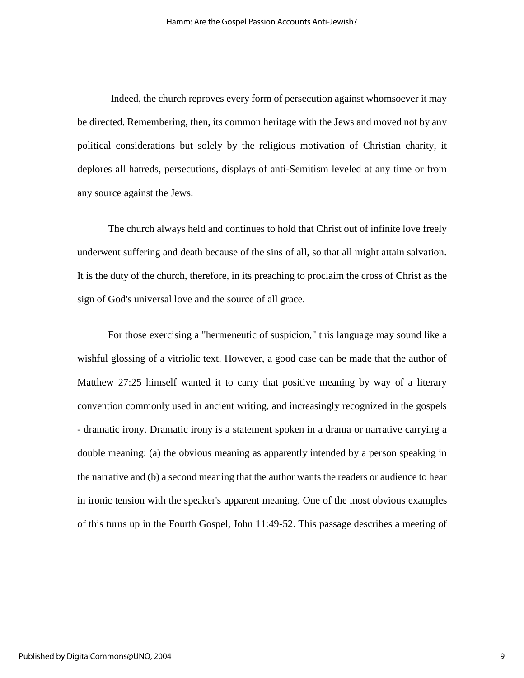Indeed, the church reproves every form of persecution against whomsoever it may be directed. Remembering, then, its common heritage with the Jews and moved not by any political considerations but solely by the religious motivation of Christian charity, it deplores all hatreds, persecutions, displays of anti-Semitism leveled at any time or from any source against the Jews.

The church always held and continues to hold that Christ out of infinite love freely underwent suffering and death because of the sins of all, so that all might attain salvation. It is the duty of the church, therefore, in its preaching to proclaim the cross of Christ as the sign of God's universal love and the source of all grace.

For those exercising a "hermeneutic of suspicion," this language may sound like a wishful glossing of a vitriolic text. However, a good case can be made that the author of Matthew 27:25 himself wanted it to carry that positive meaning by way of a literary convention commonly used in ancient writing, and increasingly recognized in the gospels - dramatic irony. Dramatic irony is a statement spoken in a drama or narrative carrying a double meaning: (a) the obvious meaning as apparently intended by a person speaking in the narrative and (b) a second meaning that the author wants the readers or audience to hear in ironic tension with the speaker's apparent meaning. One of the most obvious examples of this turns up in the Fourth Gospel, John 11:49-52. This passage describes a meeting of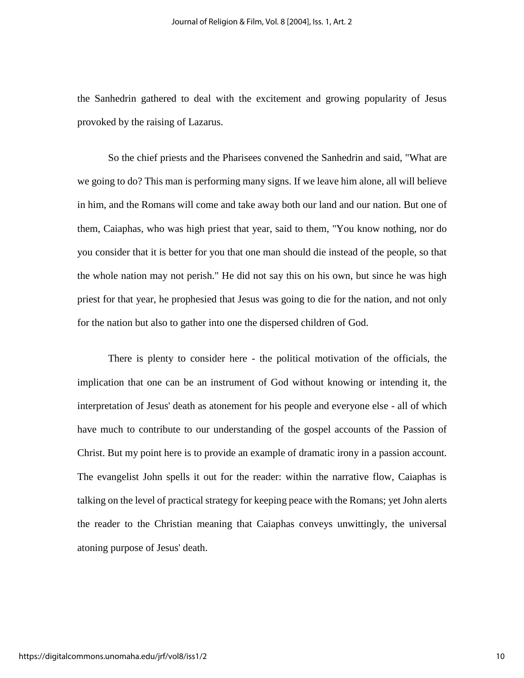the Sanhedrin gathered to deal with the excitement and growing popularity of Jesus provoked by the raising of Lazarus.

So the chief priests and the Pharisees convened the Sanhedrin and said, "What are we going to do? This man is performing many signs. If we leave him alone, all will believe in him, and the Romans will come and take away both our land and our nation. But one of them, Caiaphas, who was high priest that year, said to them, "You know nothing, nor do you consider that it is better for you that one man should die instead of the people, so that the whole nation may not perish." He did not say this on his own, but since he was high priest for that year, he prophesied that Jesus was going to die for the nation, and not only for the nation but also to gather into one the dispersed children of God.

There is plenty to consider here - the political motivation of the officials, the implication that one can be an instrument of God without knowing or intending it, the interpretation of Jesus' death as atonement for his people and everyone else - all of which have much to contribute to our understanding of the gospel accounts of the Passion of Christ. But my point here is to provide an example of dramatic irony in a passion account. The evangelist John spells it out for the reader: within the narrative flow, Caiaphas is talking on the level of practical strategy for keeping peace with the Romans; yet John alerts the reader to the Christian meaning that Caiaphas conveys unwittingly, the universal atoning purpose of Jesus' death.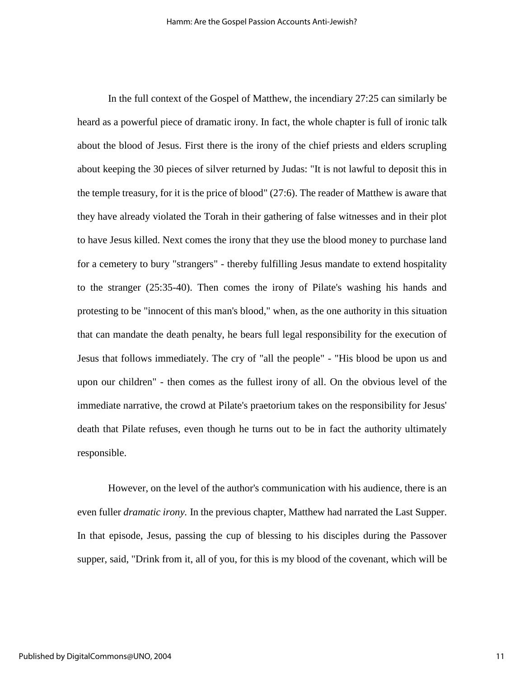In the full context of the Gospel of Matthew, the incendiary 27:25 can similarly be heard as a powerful piece of dramatic irony. In fact, the whole chapter is full of ironic talk about the blood of Jesus. First there is the irony of the chief priests and elders scrupling about keeping the 30 pieces of silver returned by Judas: "It is not lawful to deposit this in the temple treasury, for it is the price of blood" (27:6). The reader of Matthew is aware that they have already violated the Torah in their gathering of false witnesses and in their plot to have Jesus killed. Next comes the irony that they use the blood money to purchase land for a cemetery to bury "strangers" - thereby fulfilling Jesus mandate to extend hospitality to the stranger (25:35-40). Then comes the irony of Pilate's washing his hands and protesting to be "innocent of this man's blood," when, as the one authority in this situation that can mandate the death penalty, he bears full legal responsibility for the execution of Jesus that follows immediately. The cry of "all the people" - "His blood be upon us and upon our children" - then comes as the fullest irony of all. On the obvious level of the immediate narrative, the crowd at Pilate's praetorium takes on the responsibility for Jesus' death that Pilate refuses, even though he turns out to be in fact the authority ultimately responsible.

However, on the level of the author's communication with his audience, there is an even fuller *dramatic irony.* In the previous chapter, Matthew had narrated the Last Supper. In that episode, Jesus, passing the cup of blessing to his disciples during the Passover supper, said, "Drink from it, all of you, for this is my blood of the covenant, which will be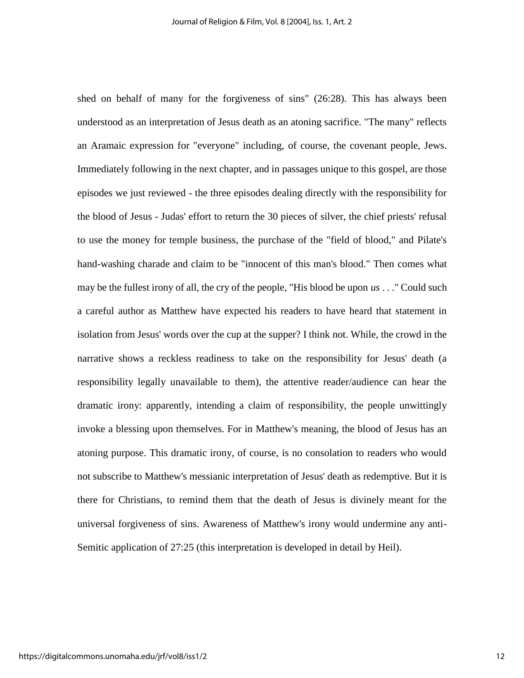shed on behalf of many for the forgiveness of sins" (26:28). This has always been understood as an interpretation of Jesus death as an atoning sacrifice. "The many" reflects an Aramaic expression for "everyone" including, of course, the covenant people, Jews. Immediately following in the next chapter, and in passages unique to this gospel, are those episodes we just reviewed - the three episodes dealing directly with the responsibility for the blood of Jesus - Judas' effort to return the 30 pieces of silver, the chief priests' refusal to use the money for temple business, the purchase of the "field of blood," and Pilate's hand-washing charade and claim to be "innocent of this man's blood." Then comes what may be the fullest irony of all, the cry of the people, "His blood be upon *us* . . ." Could such a careful author as Matthew have expected his readers to have heard that statement in isolation from Jesus' words over the cup at the supper? I think not. While, the crowd in the narrative shows a reckless readiness to take on the responsibility for Jesus' death (a responsibility legally unavailable to them), the attentive reader/audience can hear the dramatic irony: apparently, intending a claim of responsibility, the people unwittingly invoke a blessing upon themselves. For in Matthew's meaning, the blood of Jesus has an atoning purpose. This dramatic irony, of course, is no consolation to readers who would not subscribe to Matthew's messianic interpretation of Jesus' death as redemptive. But it is there for Christians, to remind them that the death of Jesus is divinely meant for the universal forgiveness of sins. Awareness of Matthew's irony would undermine any anti-Semitic application of 27:25 (this interpretation is developed in detail by Heil).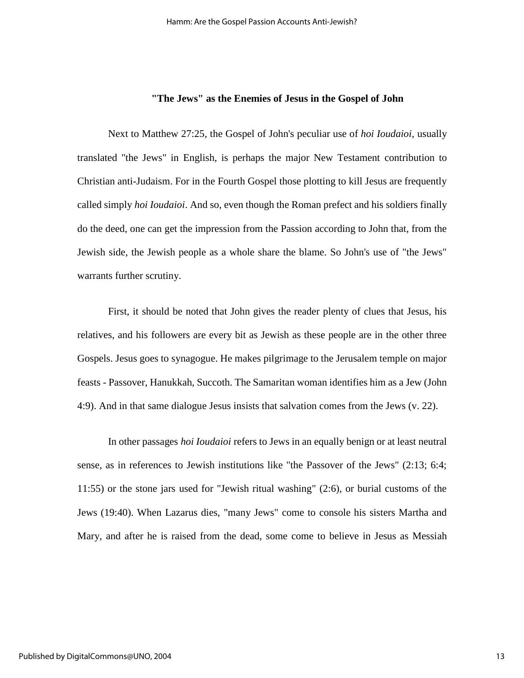## **"The Jews" as the Enemies of Jesus in the Gospel of John**

Next to Matthew 27:25, the Gospel of John's peculiar use of *hoi Ioudaioi*, usually translated "the Jews" in English, is perhaps the major New Testament contribution to Christian anti-Judaism. For in the Fourth Gospel those plotting to kill Jesus are frequently called simply *hoi Ioudaioi*. And so, even though the Roman prefect and his soldiers finally do the deed, one can get the impression from the Passion according to John that, from the Jewish side, the Jewish people as a whole share the blame. So John's use of "the Jews" warrants further scrutiny.

First, it should be noted that John gives the reader plenty of clues that Jesus, his relatives, and his followers are every bit as Jewish as these people are in the other three Gospels. Jesus goes to synagogue. He makes pilgrimage to the Jerusalem temple on major feasts - Passover, Hanukkah, Succoth. The Samaritan woman identifies him as a Jew (John 4:9). And in that same dialogue Jesus insists that salvation comes from the Jews (v. 22).

In other passages *hoi Ioudaioi* refers to Jews in an equally benign or at least neutral sense, as in references to Jewish institutions like "the Passover of the Jews" (2:13; 6:4; 11:55) or the stone jars used for "Jewish ritual washing" (2:6), or burial customs of the Jews (19:40). When Lazarus dies, "many Jews" come to console his sisters Martha and Mary, and after he is raised from the dead, some come to believe in Jesus as Messiah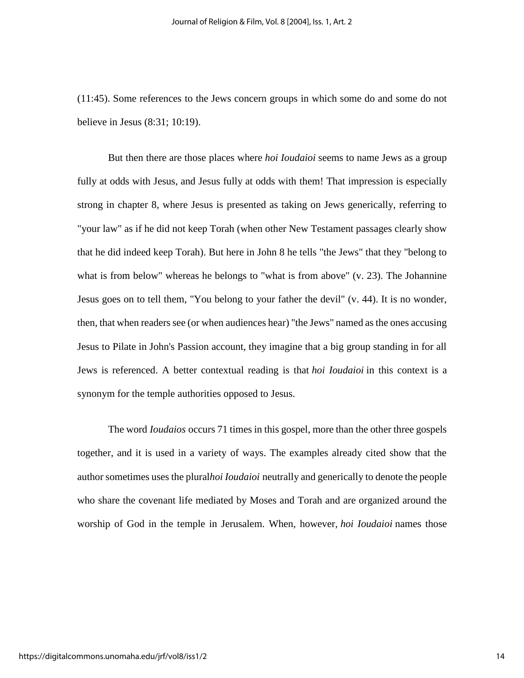(11:45). Some references to the Jews concern groups in which some do and some do not believe in Jesus (8:31; 10:19).

But then there are those places where *hoi Ioudaioi* seems to name Jews as a group fully at odds with Jesus, and Jesus fully at odds with them! That impression is especially strong in chapter 8, where Jesus is presented as taking on Jews generically, referring to "your law" as if he did not keep Torah (when other New Testament passages clearly show that he did indeed keep Torah). But here in John 8 he tells "the Jews" that they "belong to what is from below" whereas he belongs to "what is from above" (v. 23). The Johannine Jesus goes on to tell them, "You belong to your father the devil" (v. 44). It is no wonder, then, that when readers see (or when audiences hear) "the Jews" named as the ones accusing Jesus to Pilate in John's Passion account, they imagine that a big group standing in for all Jews is referenced. A better contextual reading is that *hoi Ioudaioi* in this context is a synonym for the temple authorities opposed to Jesus.

The word *Ioudaios* occurs 71 times in this gospel, more than the other three gospels together, and it is used in a variety of ways. The examples already cited show that the author sometimes uses the plural*hoi Ioudaioi* neutrally and generically to denote the people who share the covenant life mediated by Moses and Torah and are organized around the worship of God in the temple in Jerusalem. When, however, *hoi Ioudaioi* names those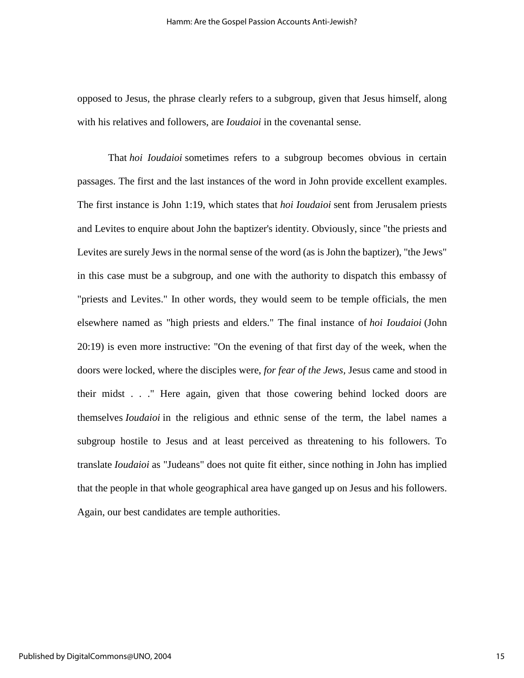opposed to Jesus, the phrase clearly refers to a subgroup, given that Jesus himself, along with his relatives and followers, are *Ioudaioi* in the covenantal sense.

That *hoi Ioudaioi* sometimes refers to a subgroup becomes obvious in certain passages. The first and the last instances of the word in John provide excellent examples. The first instance is John 1:19, which states that *hoi Ioudaioi* sent from Jerusalem priests and Levites to enquire about John the baptizer's identity. Obviously, since "the priests and Levites are surely Jews in the normal sense of the word (as is John the baptizer), "the Jews" in this case must be a subgroup, and one with the authority to dispatch this embassy of "priests and Levites." In other words, they would seem to be temple officials, the men elsewhere named as "high priests and elders." The final instance of *hoi Ioudaioi* (John 20:19) is even more instructive: "On the evening of that first day of the week, when the doors were locked, where the disciples were, *for fear of the Jews,* Jesus came and stood in their midst . . ." Here again, given that those cowering behind locked doors are themselves *Ioudaioi* in the religious and ethnic sense of the term, the label names a subgroup hostile to Jesus and at least perceived as threatening to his followers. To translate *Ioudaioi* as "Judeans" does not quite fit either, since nothing in John has implied that the people in that whole geographical area have ganged up on Jesus and his followers. Again, our best candidates are temple authorities.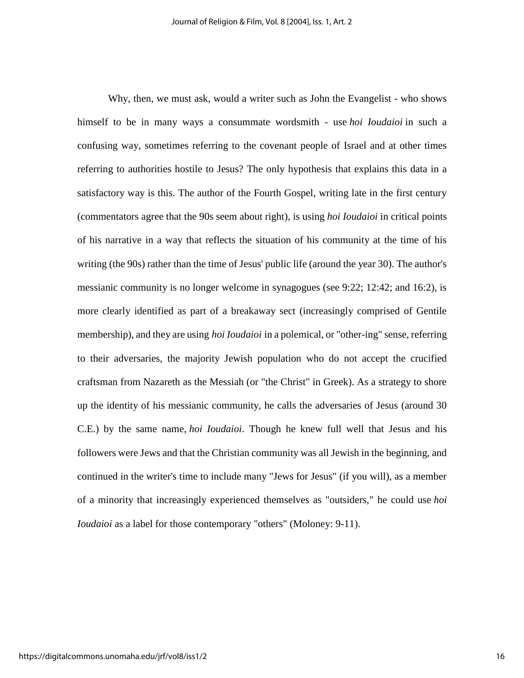Why, then, we must ask, would a writer such as John the Evangelist - who shows himself to be in many ways a consummate wordsmith - use *hoi Ioudaioi* in such a confusing way, sometimes referring to the covenant people of Israel and at other times referring to authorities hostile to Jesus? The only hypothesis that explains this data in a satisfactory way is this. The author of the Fourth Gospel, writing late in the first century (commentators agree that the 90s seem about right), is using *hoi Ioudaioi* in critical points of his narrative in a way that reflects the situation of his community at the time of his writing (the 90s) rather than the time of Jesus' public life (around the year 30). The author's messianic community is no longer welcome in synagogues (see 9:22; 12:42; and 16:2), is more clearly identified as part of a breakaway sect (increasingly comprised of Gentile membership), and they are using *hoi Ioudaioi* in a polemical, or "other-ing" sense, referring to their adversaries, the majority Jewish population who do not accept the crucified craftsman from Nazareth as the Messiah (or "the Christ" in Greek). As a strategy to shore up the identity of his messianic community, he calls the adversaries of Jesus (around 30 C.E.) by the same name, *hoi Ioudaioi*. Though he knew full well that Jesus and his followers were Jews and that the Christian community was all Jewish in the beginning, and continued in the writer's time to include many "Jews for Jesus" (if you will), as a member of a minority that increasingly experienced themselves as "outsiders," he could use *hoi Ioudaioi* as a label for those contemporary "others" (Moloney: 9-11).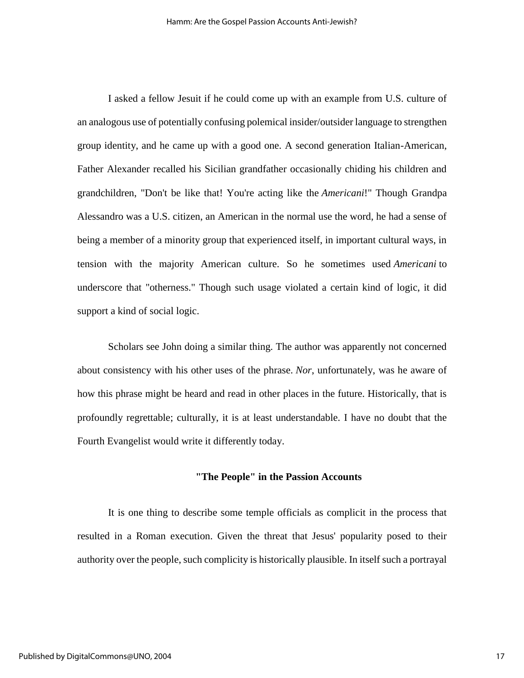I asked a fellow Jesuit if he could come up with an example from U.S. culture of an analogous use of potentially confusing polemical insider/outsider language to strengthen group identity, and he came up with a good one. A second generation Italian-American, Father Alexander recalled his Sicilian grandfather occasionally chiding his children and grandchildren, "Don't be like that! You're acting like the *Americani*!" Though Grandpa Alessandro was a U.S. citizen, an American in the normal use the word, he had a sense of being a member of a minority group that experienced itself, in important cultural ways, in tension with the majority American culture. So he sometimes used *Americani* to underscore that "otherness." Though such usage violated a certain kind of logic, it did support a kind of social logic.

Scholars see John doing a similar thing. The author was apparently not concerned about consistency with his other uses of the phrase. *Nor*, unfortunately, was he aware of how this phrase might be heard and read in other places in the future. Historically, that is profoundly regrettable; culturally, it is at least understandable. I have no doubt that the Fourth Evangelist would write it differently today.

## **"The People" in the Passion Accounts**

It is one thing to describe some temple officials as complicit in the process that resulted in a Roman execution. Given the threat that Jesus' popularity posed to their authority over the people, such complicity is historically plausible. In itself such a portrayal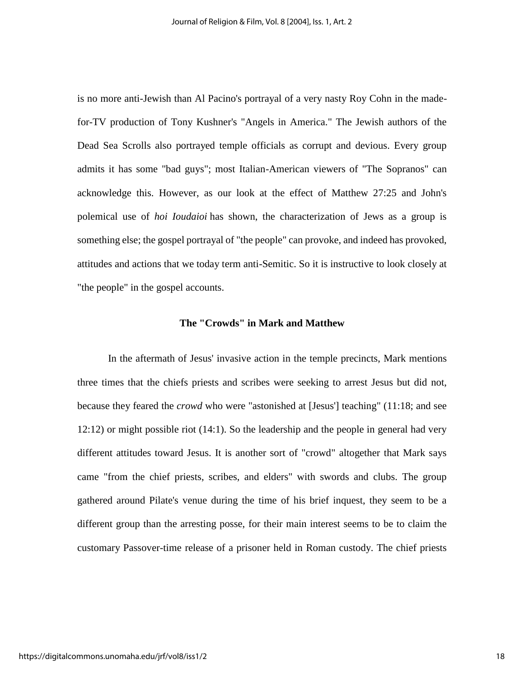is no more anti-Jewish than Al Pacino's portrayal of a very nasty Roy Cohn in the madefor-TV production of Tony Kushner's "Angels in America." The Jewish authors of the Dead Sea Scrolls also portrayed temple officials as corrupt and devious. Every group admits it has some "bad guys"; most Italian-American viewers of "The Sopranos" can acknowledge this. However, as our look at the effect of Matthew 27:25 and John's polemical use of *hoi Ioudaioi* has shown, the characterization of Jews as a group is something else; the gospel portrayal of "the people" can provoke, and indeed has provoked, attitudes and actions that we today term anti-Semitic. So it is instructive to look closely at "the people" in the gospel accounts.

#### **The "Crowds" in Mark and Matthew**

In the aftermath of Jesus' invasive action in the temple precincts, Mark mentions three times that the chiefs priests and scribes were seeking to arrest Jesus but did not, because they feared the *crowd* who were "astonished at [Jesus'] teaching" (11:18; and see 12:12) or might possible riot (14:1). So the leadership and the people in general had very different attitudes toward Jesus. It is another sort of "crowd" altogether that Mark says came "from the chief priests, scribes, and elders" with swords and clubs. The group gathered around Pilate's venue during the time of his brief inquest, they seem to be a different group than the arresting posse, for their main interest seems to be to claim the customary Passover-time release of a prisoner held in Roman custody. The chief priests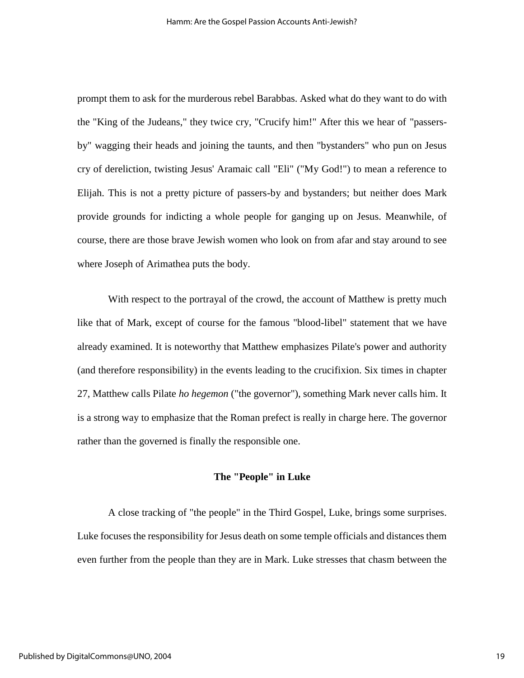prompt them to ask for the murderous rebel Barabbas. Asked what do they want to do with the "King of the Judeans," they twice cry, "Crucify him!" After this we hear of "passersby" wagging their heads and joining the taunts, and then "bystanders" who pun on Jesus cry of dereliction, twisting Jesus' Aramaic call "Eli" ("My God!") to mean a reference to Elijah. This is not a pretty picture of passers-by and bystanders; but neither does Mark provide grounds for indicting a whole people for ganging up on Jesus. Meanwhile, of course, there are those brave Jewish women who look on from afar and stay around to see where Joseph of Arimathea puts the body.

With respect to the portrayal of the crowd, the account of Matthew is pretty much like that of Mark, except of course for the famous "blood-libel" statement that we have already examined. It is noteworthy that Matthew emphasizes Pilate's power and authority (and therefore responsibility) in the events leading to the crucifixion. Six times in chapter 27, Matthew calls Pilate *ho hegemon* ("the governor"), something Mark never calls him. It is a strong way to emphasize that the Roman prefect is really in charge here. The governor rather than the governed is finally the responsible one.

## **The "People" in Luke**

A close tracking of "the people" in the Third Gospel, Luke, brings some surprises. Luke focuses the responsibility for Jesus death on some temple officials and distances them even further from the people than they are in Mark. Luke stresses that chasm between the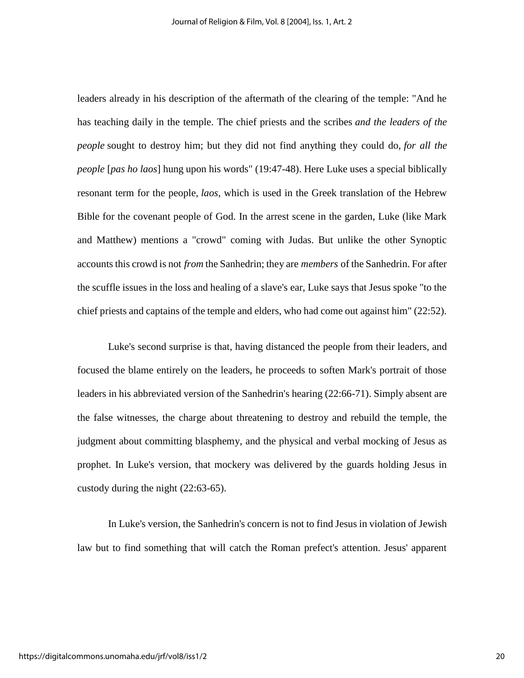leaders already in his description of the aftermath of the clearing of the temple: "And he has teaching daily in the temple. The chief priests and the scribes *and the leaders of the people* sought to destroy him; but they did not find anything they could do, *for all the people* [*pas ho laos*] hung upon his words" (19:47-48). Here Luke uses a special biblically resonant term for the people, *laos*, which is used in the Greek translation of the Hebrew Bible for the covenant people of God. In the arrest scene in the garden, Luke (like Mark and Matthew) mentions a "crowd" coming with Judas. But unlike the other Synoptic accounts this crowd is not *from* the Sanhedrin; they are *members* of the Sanhedrin. For after the scuffle issues in the loss and healing of a slave's ear, Luke says that Jesus spoke "to the chief priests and captains of the temple and elders, who had come out against him" (22:52).

Luke's second surprise is that, having distanced the people from their leaders, and focused the blame entirely on the leaders, he proceeds to soften Mark's portrait of those leaders in his abbreviated version of the Sanhedrin's hearing (22:66-71). Simply absent are the false witnesses, the charge about threatening to destroy and rebuild the temple, the judgment about committing blasphemy, and the physical and verbal mocking of Jesus as prophet. In Luke's version, that mockery was delivered by the guards holding Jesus in custody during the night (22:63-65).

In Luke's version, the Sanhedrin's concern is not to find Jesus in violation of Jewish law but to find something that will catch the Roman prefect's attention. Jesus' apparent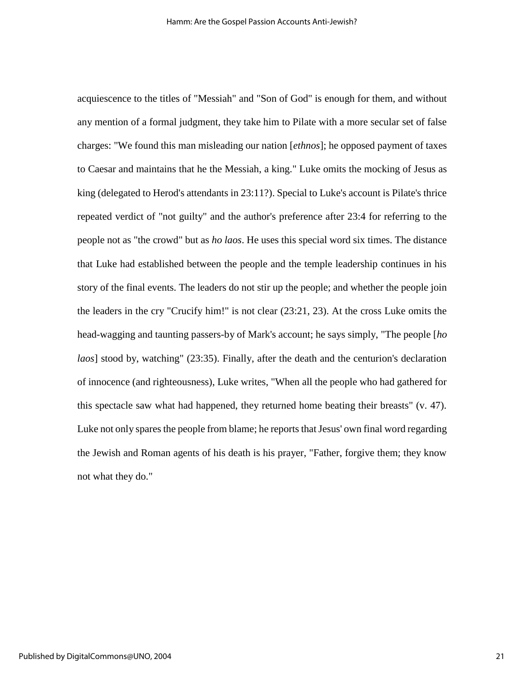acquiescence to the titles of "Messiah" and "Son of God" is enough for them, and without any mention of a formal judgment, they take him to Pilate with a more secular set of false charges: "We found this man misleading our nation [*ethnos*]; he opposed payment of taxes to Caesar and maintains that he the Messiah, a king." Luke omits the mocking of Jesus as king (delegated to Herod's attendants in 23:11?). Special to Luke's account is Pilate's thrice repeated verdict of "not guilty" and the author's preference after 23:4 for referring to the people not as "the crowd" but as *ho laos*. He uses this special word six times. The distance that Luke had established between the people and the temple leadership continues in his story of the final events. The leaders do not stir up the people; and whether the people join the leaders in the cry "Crucify him!" is not clear (23:21, 23). At the cross Luke omits the head-wagging and taunting passers-by of Mark's account; he says simply, "The people [*ho laos*] stood by, watching" (23:35). Finally, after the death and the centurion's declaration of innocence (and righteousness), Luke writes, "When all the people who had gathered for this spectacle saw what had happened, they returned home beating their breasts" (v. 47). Luke not only spares the people from blame; he reports that Jesus' own final word regarding the Jewish and Roman agents of his death is his prayer, "Father, forgive them; they know not what they do."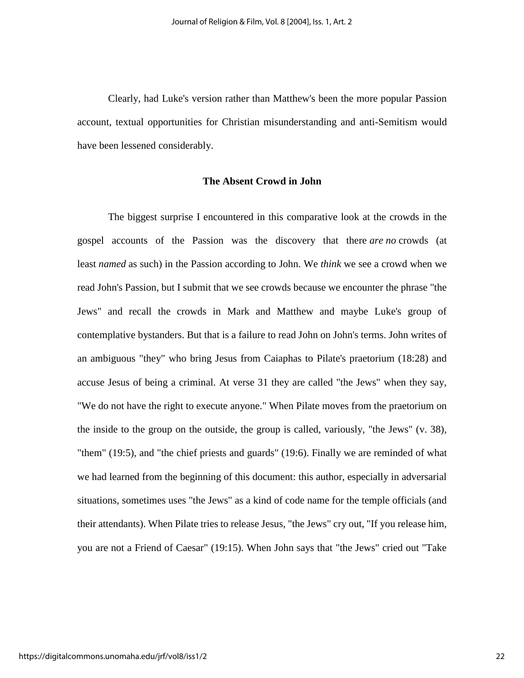Clearly, had Luke's version rather than Matthew's been the more popular Passion account, textual opportunities for Christian misunderstanding and anti-Semitism would have been lessened considerably.

## **The Absent Crowd in John**

The biggest surprise I encountered in this comparative look at the crowds in the gospel accounts of the Passion was the discovery that there *are no* crowds (at least *named* as such) in the Passion according to John. We *think* we see a crowd when we read John's Passion, but I submit that we see crowds because we encounter the phrase "the Jews" and recall the crowds in Mark and Matthew and maybe Luke's group of contemplative bystanders. But that is a failure to read John on John's terms. John writes of an ambiguous "they" who bring Jesus from Caiaphas to Pilate's praetorium (18:28) and accuse Jesus of being a criminal. At verse 31 they are called "the Jews" when they say, "We do not have the right to execute anyone." When Pilate moves from the praetorium on the inside to the group on the outside, the group is called, variously, "the Jews" (v. 38), "them" (19:5), and "the chief priests and guards" (19:6). Finally we are reminded of what we had learned from the beginning of this document: this author, especially in adversarial situations, sometimes uses "the Jews" as a kind of code name for the temple officials (and their attendants). When Pilate tries to release Jesus, "the Jews" cry out, "If you release him, you are not a Friend of Caesar" (19:15). When John says that "the Jews" cried out "Take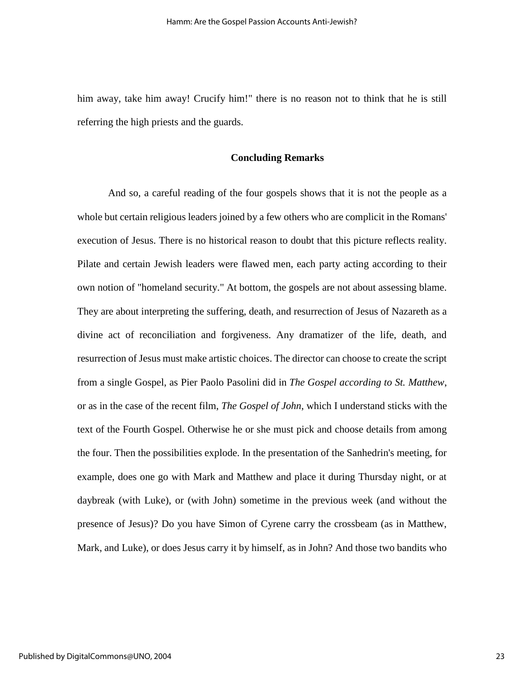him away, take him away! Crucify him!" there is no reason not to think that he is still referring the high priests and the guards.

## **Concluding Remarks**

And so, a careful reading of the four gospels shows that it is not the people as a whole but certain religious leaders joined by a few others who are complicit in the Romans' execution of Jesus. There is no historical reason to doubt that this picture reflects reality. Pilate and certain Jewish leaders were flawed men, each party acting according to their own notion of "homeland security." At bottom, the gospels are not about assessing blame. They are about interpreting the suffering, death, and resurrection of Jesus of Nazareth as a divine act of reconciliation and forgiveness. Any dramatizer of the life, death, and resurrection of Jesus must make artistic choices. The director can choose to create the script from a single Gospel, as Pier Paolo Pasolini did in *The Gospel according to St. Matthew*, or as in the case of the recent film, *The Gospel of John*, which I understand sticks with the text of the Fourth Gospel. Otherwise he or she must pick and choose details from among the four. Then the possibilities explode. In the presentation of the Sanhedrin's meeting, for example, does one go with Mark and Matthew and place it during Thursday night, or at daybreak (with Luke), or (with John) sometime in the previous week (and without the presence of Jesus)? Do you have Simon of Cyrene carry the crossbeam (as in Matthew, Mark, and Luke), or does Jesus carry it by himself, as in John? And those two bandits who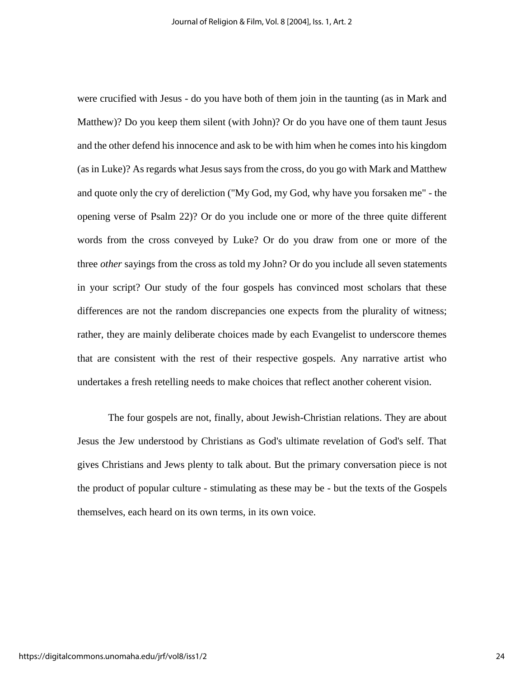were crucified with Jesus - do you have both of them join in the taunting (as in Mark and Matthew)? Do you keep them silent (with John)? Or do you have one of them taunt Jesus and the other defend his innocence and ask to be with him when he comes into his kingdom (as in Luke)? As regards what Jesus says from the cross, do you go with Mark and Matthew and quote only the cry of dereliction ("My God, my God, why have you forsaken me" - the opening verse of Psalm 22)? Or do you include one or more of the three quite different words from the cross conveyed by Luke? Or do you draw from one or more of the three *other* sayings from the cross as told my John? Or do you include all seven statements in your script? Our study of the four gospels has convinced most scholars that these differences are not the random discrepancies one expects from the plurality of witness; rather, they are mainly deliberate choices made by each Evangelist to underscore themes that are consistent with the rest of their respective gospels. Any narrative artist who undertakes a fresh retelling needs to make choices that reflect another coherent vision.

The four gospels are not, finally, about Jewish-Christian relations. They are about Jesus the Jew understood by Christians as God's ultimate revelation of God's self. That gives Christians and Jews plenty to talk about. But the primary conversation piece is not the product of popular culture - stimulating as these may be - but the texts of the Gospels themselves, each heard on its own terms, in its own voice.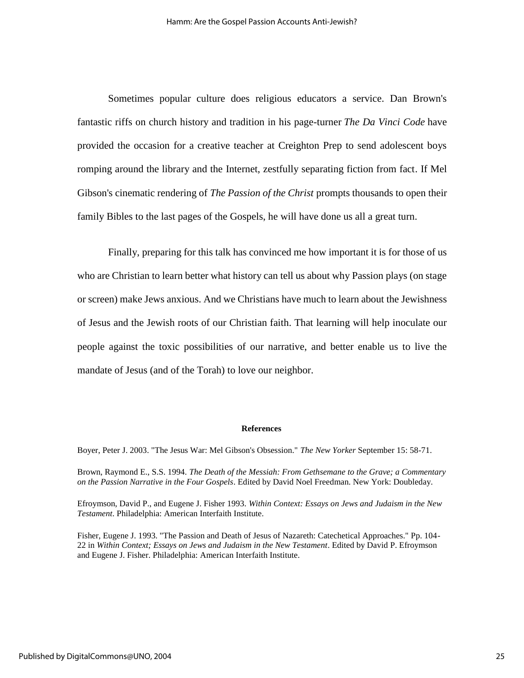Sometimes popular culture does religious educators a service. Dan Brown's fantastic riffs on church history and tradition in his page-turner *The Da Vinci Code* have provided the occasion for a creative teacher at Creighton Prep to send adolescent boys romping around the library and the Internet, zestfully separating fiction from fact. If Mel Gibson's cinematic rendering of *The Passion of the Christ* prompts thousands to open their family Bibles to the last pages of the Gospels, he will have done us all a great turn.

Finally, preparing for this talk has convinced me how important it is for those of us who are Christian to learn better what history can tell us about why Passion plays (on stage or screen) make Jews anxious. And we Christians have much to learn about the Jewishness of Jesus and the Jewish roots of our Christian faith. That learning will help inoculate our people against the toxic possibilities of our narrative, and better enable us to live the mandate of Jesus (and of the Torah) to love our neighbor.

#### **References**

Boyer, Peter J. 2003. "The Jesus War: Mel Gibson's Obsession." *The New Yorker* September 15: 58-71.

Brown, Raymond E., S.S. 1994. *The Death of the Messiah: From Gethsemane to the Grave; a Commentary on the Passion Narrative in the Four Gospels*. Edited by David Noel Freedman. New York: Doubleday.

Efroymson, David P., and Eugene J. Fisher 1993. *Within Context: Essays on Jews and Judaism in the New Testament*. Philadelphia: American Interfaith Institute.

Fisher, Eugene J. 1993. "The Passion and Death of Jesus of Nazareth: Catechetical Approaches." Pp. 104- 22 in *Within Context; Essays on Jews and Judaism in the New Testament*. Edited by David P. Efroymson and Eugene J. Fisher. Philadelphia: American Interfaith Institute.